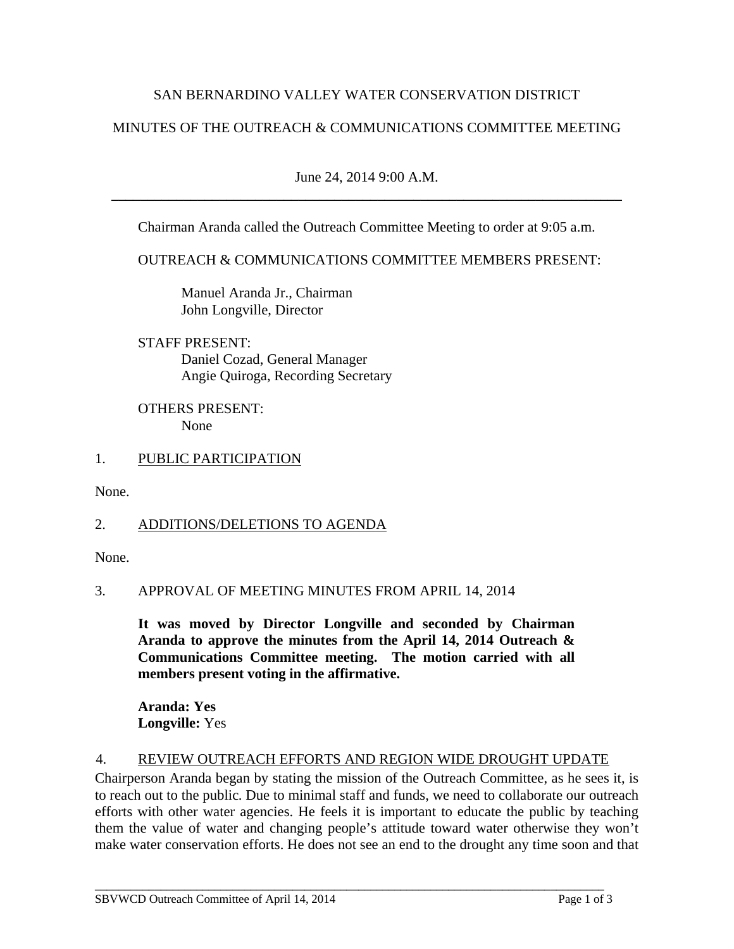### SAN BERNARDINO VALLEY WATER CONSERVATION DISTRICT

## MINUTES OF THE OUTREACH & COMMUNICATIONS COMMITTEE MEETING

June 24, 2014 9:00 A.M. \_\_\_\_\_\_\_\_\_\_\_\_\_\_\_\_\_\_\_\_\_\_\_\_\_\_\_\_\_\_\_\_\_\_\_\_\_\_\_\_\_\_\_\_\_\_\_\_\_\_\_\_\_\_\_\_\_\_\_\_\_\_\_\_\_\_\_\_\_\_\_

Chairman Aranda called the Outreach Committee Meeting to order at 9:05 a.m.

OUTREACH & COMMUNICATIONS COMMITTEE MEMBERS PRESENT:

 Manuel Aranda Jr., Chairman John Longville, Director

 STAFF PRESENT: Daniel Cozad, General Manager Angie Quiroga, Recording Secretary

 OTHERS PRESENT: None

### 1. PUBLIC PARTICIPATION

None.

### 2. ADDITIONS/DELETIONS TO AGENDA

None.

#### 3. APPROVAL OF MEETING MINUTES FROM APRIL 14, 2014

**It was moved by Director Longville and seconded by Chairman Aranda to approve the minutes from the April 14, 2014 Outreach & Communications Committee meeting. The motion carried with all members present voting in the affirmative.** 

**Aranda: Yes Longville:** Yes

### 4. REVIEW OUTREACH EFFORTS AND REGION WIDE DROUGHT UPDATE

\_\_\_\_\_\_\_\_\_\_\_\_\_\_\_\_\_\_\_\_\_\_\_\_\_\_\_\_\_\_\_\_\_\_\_\_\_\_\_\_\_\_\_\_\_\_\_\_\_\_\_\_\_\_\_\_\_\_\_\_\_\_\_\_\_\_\_\_\_\_\_\_\_\_\_\_\_\_\_\_\_\_\_\_\_

Chairperson Aranda began by stating the mission of the Outreach Committee, as he sees it, is to reach out to the public. Due to minimal staff and funds, we need to collaborate our outreach efforts with other water agencies. He feels it is important to educate the public by teaching them the value of water and changing people's attitude toward water otherwise they won't make water conservation efforts. He does not see an end to the drought any time soon and that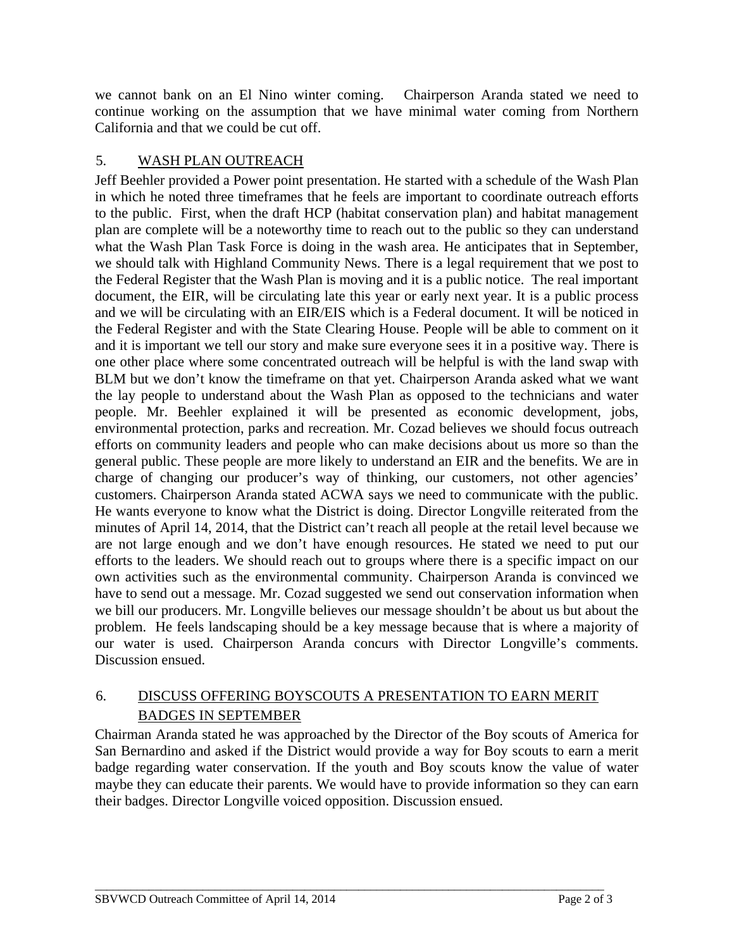we cannot bank on an El Nino winter coming. Chairperson Aranda stated we need to continue working on the assumption that we have minimal water coming from Northern California and that we could be cut off.

# 5. WASH PLAN OUTREACH

Jeff Beehler provided a Power point presentation. He started with a schedule of the Wash Plan in which he noted three timeframes that he feels are important to coordinate outreach efforts to the public. First, when the draft HCP (habitat conservation plan) and habitat management plan are complete will be a noteworthy time to reach out to the public so they can understand what the Wash Plan Task Force is doing in the wash area. He anticipates that in September, we should talk with Highland Community News. There is a legal requirement that we post to the Federal Register that the Wash Plan is moving and it is a public notice. The real important document, the EIR, will be circulating late this year or early next year. It is a public process and we will be circulating with an EIR/EIS which is a Federal document. It will be noticed in the Federal Register and with the State Clearing House. People will be able to comment on it and it is important we tell our story and make sure everyone sees it in a positive way. There is one other place where some concentrated outreach will be helpful is with the land swap with BLM but we don't know the timeframe on that yet. Chairperson Aranda asked what we want the lay people to understand about the Wash Plan as opposed to the technicians and water people. Mr. Beehler explained it will be presented as economic development, jobs, environmental protection, parks and recreation. Mr. Cozad believes we should focus outreach efforts on community leaders and people who can make decisions about us more so than the general public. These people are more likely to understand an EIR and the benefits. We are in charge of changing our producer's way of thinking, our customers, not other agencies' customers. Chairperson Aranda stated ACWA says we need to communicate with the public. He wants everyone to know what the District is doing. Director Longville reiterated from the minutes of April 14, 2014, that the District can't reach all people at the retail level because we are not large enough and we don't have enough resources. He stated we need to put our efforts to the leaders. We should reach out to groups where there is a specific impact on our own activities such as the environmental community. Chairperson Aranda is convinced we have to send out a message. Mr. Cozad suggested we send out conservation information when we bill our producers. Mr. Longville believes our message shouldn't be about us but about the problem. He feels landscaping should be a key message because that is where a majority of our water is used. Chairperson Aranda concurs with Director Longville's comments. Discussion ensued.

## 6. DISCUSS OFFERING BOYSCOUTS A PRESENTATION TO EARN MERIT BADGES IN SEPTEMBER

Chairman Aranda stated he was approached by the Director of the Boy scouts of America for San Bernardino and asked if the District would provide a way for Boy scouts to earn a merit badge regarding water conservation. If the youth and Boy scouts know the value of water maybe they can educate their parents. We would have to provide information so they can earn their badges. Director Longville voiced opposition. Discussion ensued.